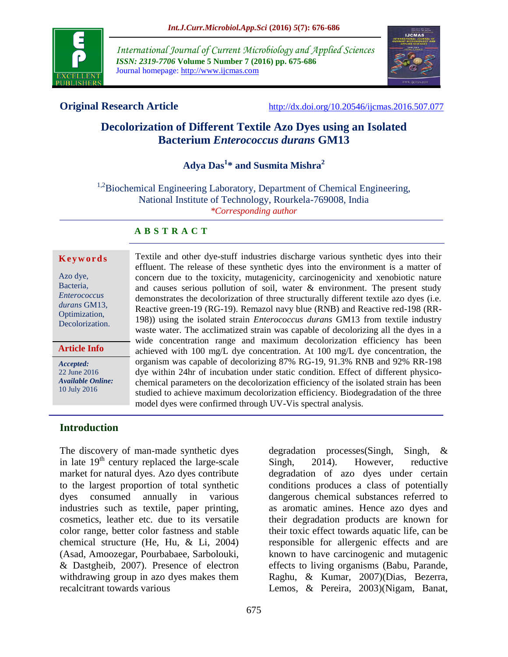

*International Journal of Current Microbiology and Applied Sciences ISSN: 2319-7706* **Volume 5 Number 7 (2016) pp. 675-686** Journal homepage: http://www.ijcmas.com



**Original Research Article** <http://dx.doi.org/10.20546/ijcmas.2016.507.077>

# **Decolorization of Different Textile Azo Dyes using an Isolated Bacterium** *Enterococcus durans* **GM13**

**Adya Das<sup>1</sup> \* and Susmita Mishra<sup>2</sup>**

<sup>1,2</sup>Biochemical Engineering Laboratory, Department of Chemical Engineering, National Institute of Technology, Rourkela-769008, India *\*Corresponding author*

#### **A B S T R A C T**

#### **K e y w o r d s**

Azo dye, Bacteria, *Enterococcus durans* GM13, Optimization, Decolorization.

#### **Article Info**

*Accepted:*  22 June 2016 *Available Online:* 10 July 2016

Textile and other dye-stuff industries discharge various synthetic dyes into their effluent. The release of these synthetic dyes into the environment is a matter of concern due to the toxicity, mutagenicity, carcinogenicity and xenobiotic nature and causes serious pollution of soil, water  $\&$  environment. The present study demonstrates the decolorization of three structurally different textile azo dyes (i.e. Reactive green-19 (RG-19). Remazol navy blue (RNB) and Reactive red-198 (RR-198)) using the isolated strain *Enterococcus durans* GM13 from textile industry waste water. The acclimatized strain was capable of decolorizing all the dyes in a wide concentration range and maximum decolorization efficiency has been achieved with 100 mg/L dye concentration. At 100 mg/L dye concentration, the organism was capable of decolorizing 87% RG-19, 91.3% RNB and 92% RR-198 dye within 24hr of incubation under static condition. Effect of different physicochemical parameters on the decolorization efficiency of the isolated strain has been studied to achieve maximum decolorization efficiency. Biodegradation of the three model dyes were confirmed through UV-Vis spectral analysis.

#### **Introduction**

The discovery of man-made synthetic dyes in late  $19<sup>th</sup>$  century replaced the large-scale market for natural dyes. Azo dyes contribute to the largest proportion of total synthetic dyes consumed annually in various industries such as textile, paper printing, cosmetics, leather etc. due to its versatile color range, better color fastness and stable chemical structure (He, Hu, & Li, 2004) (Asad, Amoozegar, Pourbabaee, Sarbolouki, & Dastgheib, 2007). Presence of electron withdrawing group in azo dyes makes them recalcitrant towards various

degradation processes(Singh, Singh, & Singh, 2014). However, reductive degradation of azo dyes under certain conditions produces a class of potentially dangerous chemical substances referred to as aromatic amines. Hence azo dyes and their degradation products are known for their toxic effect towards aquatic life, can be responsible for allergenic effects and are known to have carcinogenic and mutagenic effects to living organisms (Babu, Parande, Raghu, & Kumar, 2007)(Dias, Bezerra, Lemos, & Pereira, 2003)(Nigam, Banat,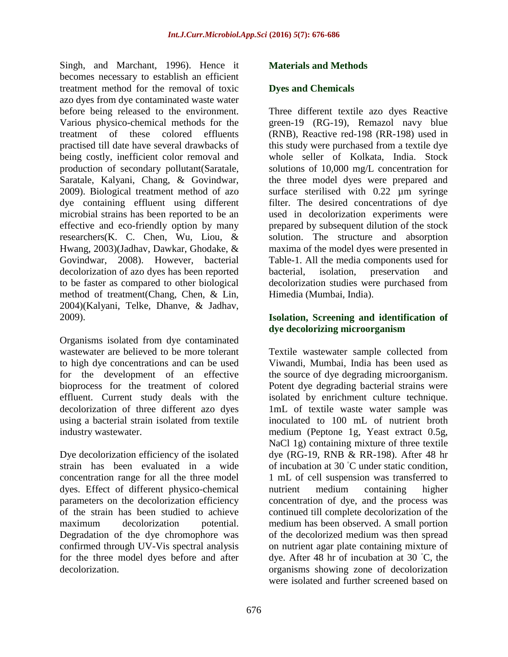Singh, and Marchant, 1996). Hence it becomes necessary to establish an efficient treatment method for the removal of toxic azo dyes from dye contaminated waste water before being released to the environment. Various physico-chemical methods for the treatment of these colored effluents practised till date have several drawbacks of being costly, inefficient color removal and production of secondary pollutant(Saratale, Saratale, Kalyani, Chang, & Govindwar, 2009). Biological treatment method of azo dye containing effluent using different microbial strains has been reported to be an effective and eco-friendly option by many researchers(K. C. Chen, Wu, Liou, & Hwang, 2003)(Jadhav, Dawkar, Ghodake, & Govindwar, 2008). However, bacterial decolorization of azo dyes has been reported to be faster as compared to other biological method of treatment(Chang, Chen, & Lin, 2004)(Kalyani, Telke, Dhanve, & Jadhav, 2009).

Organisms isolated from dye contaminated wastewater are believed to be more tolerant to high dye concentrations and can be used for the development of an effective bioprocess for the treatment of colored effluent. Current study deals with the decolorization of three different azo dyes using a bacterial strain isolated from textile industry wastewater.

Dye decolorization efficiency of the isolated strain has been evaluated in a wide concentration range for all the three model dyes. Effect of different physico-chemical parameters on the decolorization efficiency of the strain has been studied to achieve maximum decolorization potential. Degradation of the dye chromophore was confirmed through UV-Vis spectral analysis for the three model dyes before and after decolorization.

#### **Materials and Methods**

#### **Dyes and Chemicals**

Three different textile azo dyes Reactive green-19 (RG-19), Remazol navy blue (RNB), Reactive red-198 (RR-198) used in this study were purchased from a textile dye whole seller of Kolkata, India. Stock solutions of 10,000 mg/L concentration for the three model dyes were prepared and surface sterilised with 0.22  $\mu$ m syringe filter. The desired concentrations of dye used in decolorization experiments were prepared by subsequent dilution of the stock solution. The structure and absorption maxima of the model dyes were presented in Table-1. All the media components used for bacterial, isolation, preservation and decolorization studies were purchased from Himedia (Mumbai, India).

#### **Isolation, Screening and identification of dye decolorizing microorganism**

Textile wastewater sample collected from Viwandi, Mumbai, India has been used as the source of dye degrading microorganism. Potent dye degrading bacterial strains were isolated by enrichment culture technique. 1mL of textile waste water sample was inoculated to 100 mL of nutrient broth medium (Peptone 1g, Yeast extract 0.5g, NaCl 1g) containing mixture of three textile dye (RG-19, RNB & RR-198). After 48 hr of incubation at 30 ◦C under static condition, 1 mL of cell suspension was transferred to nutrient medium containing higher concentration of dye, and the process was continued till complete decolorization of the medium has been observed. A small portion of the decolorized medium was then spread on nutrient agar plate containing mixture of dye. After 48 hr of incubation at 30 ◦C, the organisms showing zone of decolorization were isolated and further screened based on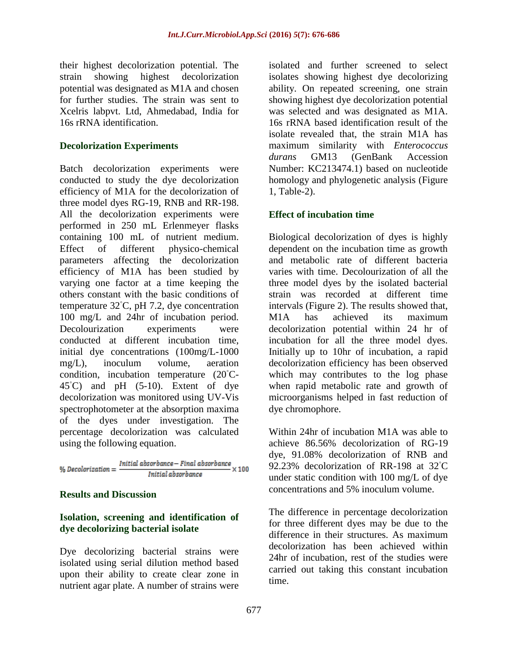their highest decolorization potential. The strain showing highest decolorization potential was designated as M1A and chosen for further studies. The strain was sent to Xcelris labpvt. Ltd, Ahmedabad, India for 16s rRNA identification.

#### **Decolorization Experiments**

Batch decolorization experiments were conducted to study the dye decolorization efficiency of M1A for the decolorization of three model dyes RG-19, RNB and RR-198. All the decolorization experiments were performed in 250 mL Erlenmeyer flasks containing 100 mL of nutrient medium. Effect of different physico-chemical parameters affecting the decolorization efficiency of M1A has been studied by varying one factor at a time keeping the others constant with the basic conditions of temperature 32◦C, pH 7.2, dye concentration 100 mg/L and 24hr of incubation period. Decolourization experiments were conducted at different incubation time, initial dye concentrations (100mg/L-1000 mg/L), inoculum volume, aeration condition, incubation temperature (20◦C- $45^{\circ}$ C) and pH (5-10). Extent of dye decolorization was monitored using UV-Vis spectrophotometer at the absorption maxima of the dyes under investigation. The percentage decolorization was calculated using the following equation.

% Decolorization =  $\frac{Initial\ absorbance - Final\ absorbance}{Initial\ absorbance} \times 100$ 

#### **Results and Discussion**

#### **Isolation, screening and identification of dye decolorizing bacterial isolate**

Dye decolorizing bacterial strains were isolated using serial dilution method based upon their ability to create clear zone in nutrient agar plate. A number of strains were

isolated and further screened to select isolates showing highest dye decolorizing ability. On repeated screening, one strain showing highest dye decolorization potential was selected and was designated as M1A. 16s rRNA based identification result of the isolate revealed that, the strain M1A has maximum similarity with *Enterococcus durans* GM13 (GenBank Accession Number: KC213474.1) based on nucleotide homology and phylogenetic analysis (Figure 1, Table-2).

## **Effect of incubation time**

Biological decolorization of dyes is highly dependent on the incubation time as growth and metabolic rate of different bacteria varies with time. Decolourization of all the three model dyes by the isolated bacterial strain was recorded at different time intervals (Figure 2). The results showed that, M1A has achieved its maximum decolorization potential within 24 hr of incubation for all the three model dyes. Initially up to 10hr of incubation, a rapid decolorization efficiency has been observed which may contributes to the log phase when rapid metabolic rate and growth of microorganisms helped in fast reduction of dye chromophore.

Within 24hr of incubation M1A was able to achieve 86.56% decolorization of RG-19 dye, 91.08% decolorization of RNB and 92.23% decolorization of RR-198 at 32℃ under static condition with 100 mg/L of dye concentrations and 5% inoculum volume.

The difference in percentage decolorization for three different dyes may be due to the difference in their structures. As maximum decolorization has been achieved within 24hr of incubation, rest of the studies were carried out taking this constant incubation time.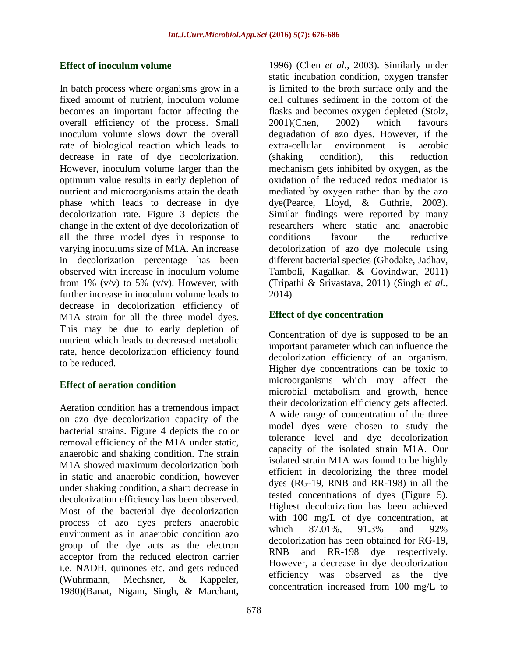#### **Effect of inoculum volume**

In batch process where organisms grow in a fixed amount of nutrient, inoculum volume becomes an important factor affecting the overall efficiency of the process. Small inoculum volume slows down the overall rate of biological reaction which leads to decrease in rate of dye decolorization. However, inoculum volume larger than the optimum value results in early depletion of nutrient and microorganisms attain the death phase which leads to decrease in dye decolorization rate. Figure 3 depicts the change in the extent of dye decolorization of all the three model dyes in response to varying inoculums size of M1A. An increase in decolorization percentage has been observed with increase in inoculum volume from 1%  $(v/v)$  to 5%  $(v/v)$ . However, with further increase in inoculum volume leads to decrease in decolorization efficiency of M1A strain for all the three model dyes. This may be due to early depletion of nutrient which leads to decreased metabolic rate, hence decolorization efficiency found to be reduced.

## **Effect of aeration condition**

Aeration condition has a tremendous impact on azo dye decolorization capacity of the bacterial strains. Figure 4 depicts the color removal efficiency of the M1A under static, anaerobic and shaking condition. The strain M1A showed maximum decolorization both in static and anaerobic condition, however under shaking condition, a sharp decrease in decolorization efficiency has been observed. Most of the bacterial dye decolorization process of azo dyes prefers anaerobic environment as in anaerobic condition azo group of the dye acts as the electron acceptor from the reduced electron carrier i.e. NADH, quinones etc. and gets reduced (Wuhrmann, Mechsner, & Kappeler, 1980)(Banat, Nigam, Singh, & Marchant,

1996) (Chen *et al.,* 2003). Similarly under static incubation condition, oxygen transfer is limited to the broth surface only and the cell cultures sediment in the bottom of the flasks and becomes oxygen depleted (Stolz, 2001)(Chen, 2002) which favours degradation of azo dyes. However, if the extra-cellular environment is aerobic (shaking condition), this reduction mechanism gets inhibited by oxygen, as the oxidation of the reduced redox mediator is mediated by oxygen rather than by the azo dye(Pearce, Lloyd, & Guthrie, 2003). Similar findings were reported by many researchers where static and anaerobic conditions favour the reductive decolorization of azo dye molecule using different bacterial species (Ghodake, Jadhav, Tamboli, Kagalkar, & Govindwar, 2011) (Tripathi & Srivastava, 2011) (Singh *et al.,* 2014).

## **Effect of dye concentration**

Concentration of dye is supposed to be an important parameter which can influence the decolorization efficiency of an organism. Higher dye concentrations can be toxic to microorganisms which may affect the microbial metabolism and growth, hence their decolorization efficiency gets affected. A wide range of concentration of the three model dyes were chosen to study the tolerance level and dye decolorization capacity of the isolated strain M1A. Our isolated strain M1A was found to be highly efficient in decolorizing the three model dyes (RG-19, RNB and RR-198) in all the tested concentrations of dyes (Figure 5). Highest decolorization has been achieved with 100 mg/L of dye concentration, at which 87.01%, 91.3% and 92% decolorization has been obtained for RG-19, RNB and RR-198 dye respectively. However, a decrease in dye decolorization efficiency was observed as the dye concentration increased from 100 mg/L to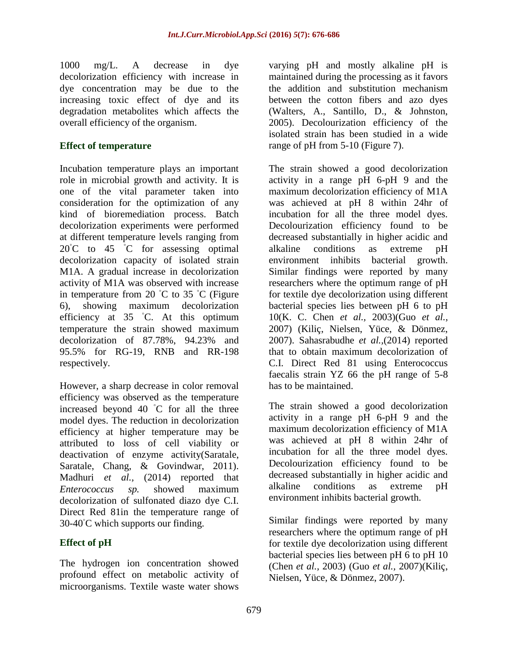1000 mg/L. A decrease in dye decolorization efficiency with increase in dye concentration may be due to the increasing toxic effect of dye and its degradation metabolites which affects the overall efficiency of the organism.

#### **Effect of temperature**

Incubation temperature plays an important role in microbial growth and activity. It is one of the vital parameter taken into consideration for the optimization of any kind of bioremediation process. Batch decolorization experiments were performed at different temperature levels ranging from  $20^{\circ}$ C to 45  $^{\circ}$ C for assessing optimal decolorization capacity of isolated strain M1A. A gradual increase in decolorization activity of M1A was observed with increase in temperature from 20  $°C$  to 35  $°C$  (Figure 6), showing maximum decolorization efficiency at 35 ◦C. At this optimum temperature the strain showed maximum decolorization of 87.78%, 94.23% and 95.5% for RG-19, RNB and RR-198 respectively.

However, a sharp decrease in color removal efficiency was observed as the temperature increased beyond 40 ◦C for all the three model dyes. The reduction in decolorization efficiency at higher temperature may be attributed to loss of cell viability or deactivation of enzyme activity(Saratale, Saratale, Chang, & Govindwar, 2011). Madhuri *et al.,* (2014) reported that *Enterococcus sp.* showed maximum decolorization of sulfonated diazo dye C.I. Direct Red 81in the temperature range of  $30-40^{\circ}$ C which supports our finding.

## **Effect of pH**

The hydrogen ion concentration showed profound effect on metabolic activity of microorganisms. Textile waste water shows

varying pH and mostly alkaline pH is maintained during the processing as it favors the addition and substitution mechanism between the cotton fibers and azo dyes (Walters, A., Santillo, D., & Johnston, 2005). Decolourization efficiency of the isolated strain has been studied in a wide range of pH from 5-10 (Figure 7).

The strain showed a good decolorization activity in a range pH 6-pH 9 and the maximum decolorization efficiency of M1A was achieved at pH 8 within 24hr of incubation for all the three model dyes. Decolourization efficiency found to be decreased substantially in higher acidic and alkaline conditions as extreme pH environment inhibits bacterial growth. Similar findings were reported by many researchers where the optimum range of pH for textile dye decolorization using different bacterial species lies between pH 6 to pH 10(K. C. Chen *et al.,* 2003)(Guo *et al.,* 2007) (Kiliç, Nielsen, Yüce, & Dönmez, 2007). Sahasrabudhe *et al.,*(2014) reported that to obtain maximum decolorization of C.I. Direct Red 81 using Enterococcus faecalis strain YZ 66 the pH range of 5-8 has to be maintained.

The strain showed a good decolorization activity in a range pH 6-pH 9 and the maximum decolorization efficiency of M1A was achieved at pH 8 within 24hr of incubation for all the three model dyes. Decolourization efficiency found to be decreased substantially in higher acidic and alkaline conditions as extreme pH environment inhibits bacterial growth.

Similar findings were reported by many researchers where the optimum range of pH for textile dye decolorization using different bacterial species lies between pH 6 to pH 10 (Chen *et al.,* 2003) (Guo *et al.,* 2007)(Kiliç, Nielsen, Yüce, & Dönmez, 2007).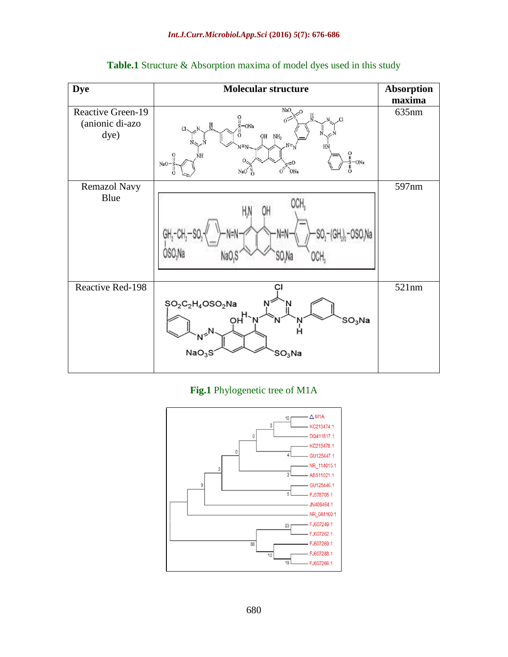| <b>Dye</b>                                   | <b>Molecular structure</b>                                                                                                                                                                                         | <b>Absorption</b> |
|----------------------------------------------|--------------------------------------------------------------------------------------------------------------------------------------------------------------------------------------------------------------------|-------------------|
|                                              |                                                                                                                                                                                                                    | maxima            |
| Reactive Green-19<br>(anionic di-azo<br>dye) | NaO,<br>20<br>$\int_{S}^{0}$ – ONa<br>N<br>$\overline{\mathcal{L}}$<br>0 <sup>2</sup><br>N<br>$OH$ $NH2$<br>$N = N$<br>HN<br>ဂူ<br>$\frac{0}{11}$<br>NH<br>ON <sub>a</sub><br>-0<br>NaO-<br>NaO<br>ONa<br>$\Omega$ | 635nm             |
| Remazol Navy                                 |                                                                                                                                                                                                                    | 597nm             |
| Blue                                         | SO Na                                                                                                                                                                                                              |                   |
| Reactive Red-198                             | сı<br>$$O_2O_2H_4$ OSO2Na<br>$\rho H$<br>$SO_3$ Na<br>N<br>$\epsilon^N$<br>NaO <sub>3</sub> S<br>$\mathsf{SO}_3\mathsf{Na}$                                                                                        | 521nm             |

Table.1 Structure & Absorption maxima of model dyes used in this study

# **Fig.1** Phylogenetic tree of M1A

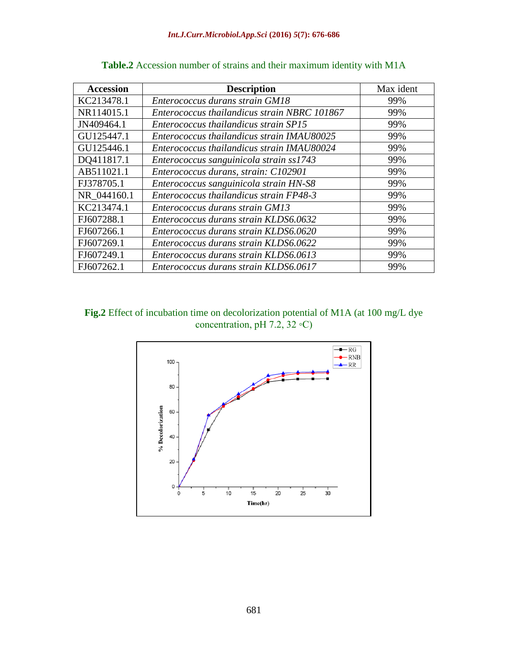| <b>Accession</b> | <b>Description</b>                           | Max ident |
|------------------|----------------------------------------------|-----------|
| KC213478.1       | Enterococcus durans strain GM18              | 99%       |
| NR114015.1       | Enterococcus thailandicus strain NBRC 101867 | 99%       |
| JN409464.1       | Enterococcus thailandicus strain SP15        | 99%       |
| GU125447.1       | Enterococcus thailandicus strain IMAU80025   | 99%       |
| GU125446.1       | Enterococcus thailandicus strain IMAU80024   | 99%       |
| DQ411817.1       | Enterococcus sanguinicola strain ss1743      | 99%       |
| AB511021.1       | Enterococcus durans, strain: C102901         | 99%       |
| FJ378705.1       | Enterococcus sanguinicola strain HN-S8       | 99%       |
| NR 044160.1      | Enterococcus thailandicus strain FP48-3      | 99%       |
| KC213474.1       | Enterococcus durans strain GM13              | 99%       |
| FJ607288.1       | Enterococcus durans strain KLDS6.0632        | 99%       |
| FJ607266.1       | Enterococcus durans strain KLDS6.0620        | 99%       |
| FJ607269.1       | Enterococcus durans strain KLDS6.0622        | 99%       |
| FJ607249.1       | Enterococcus durans strain KLDS6.0613        | 99%       |
| FJ607262.1       | Enterococcus durans strain KLDS6.0617        | 99%       |

### **Table.2** Accession number of strains and their maximum identity with M1A



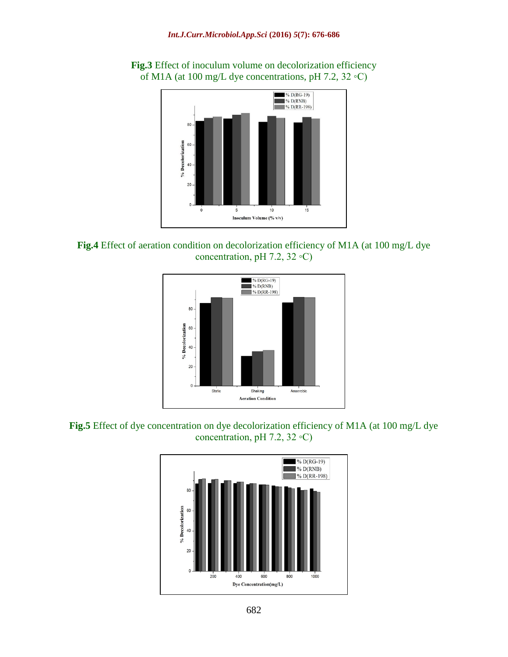

**Fig.3** Effect of inoculum volume on decolorization efficiency of M1A (at 100 mg/L dye concentrations, pH 7.2, 32 ◦C)





**Fig.5** Effect of dye concentration on dye decolorization efficiency of M1A (at 100 mg/L dye concentration, pH 7.2, 32 ◦C)

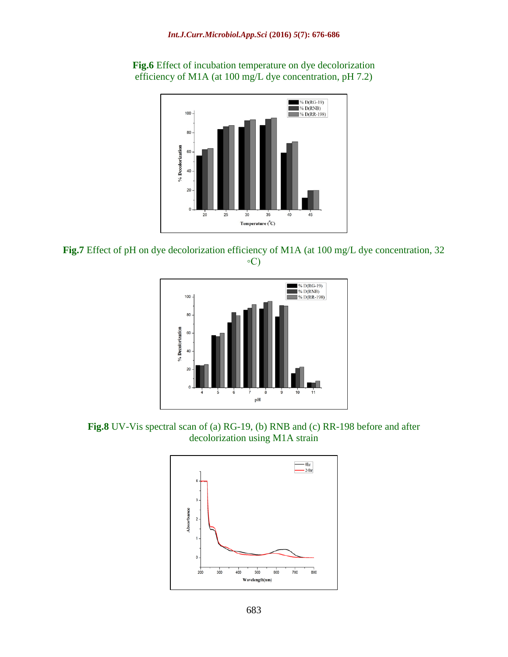

**Fig.6** Effect of incubation temperature on dye decolorization efficiency of M1A (at 100 mg/L dye concentration, pH 7.2)





**Fig.8** UV-Vis spectral scan of (a) RG-19, (b) RNB and (c) RR-198 before and after decolorization using M1A strain

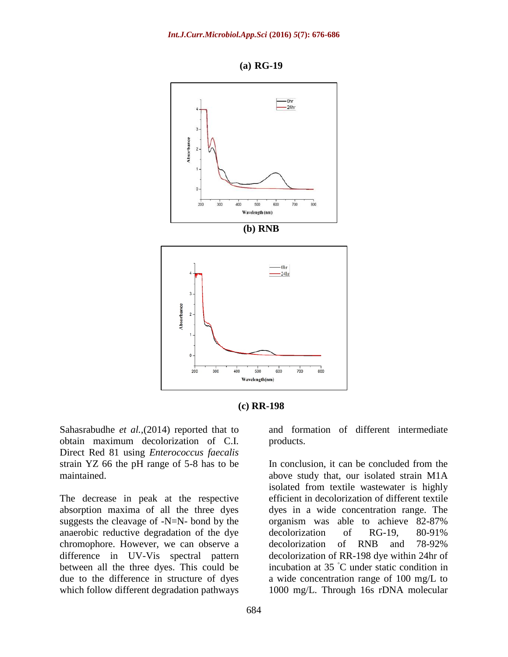

**(a) RG-19**



Sahasrabudhe *et al.,*(2014) reported that to obtain maximum decolorization of C.I. Direct Red 81 using *Enterococcus faecalis* strain YZ 66 the pH range of 5-8 has to be maintained.

The decrease in peak at the respective absorption maxima of all the three dyes suggests the cleavage of -N=N- bond by the anaerobic reductive degradation of the dye chromophore. However, we can observe a difference in UV-Vis spectral pattern between all the three dyes. This could be due to the difference in structure of dyes which follow different degradation pathways

and formation of different intermediate products.

In conclusion, it can be concluded from the above study that, our isolated strain M1A isolated from textile wastewater is highly efficient in decolorization of different textile dyes in a wide concentration range. The organism was able to achieve 82-87% decolorization of RG-19, 80-91% decolorization of RNB and 78-92% decolorization of RR-198 dye within 24hr of incubation at 35 ◦C under static condition in a wide concentration range of 100 mg/L to 1000 mg/L. Through 16s rDNA molecular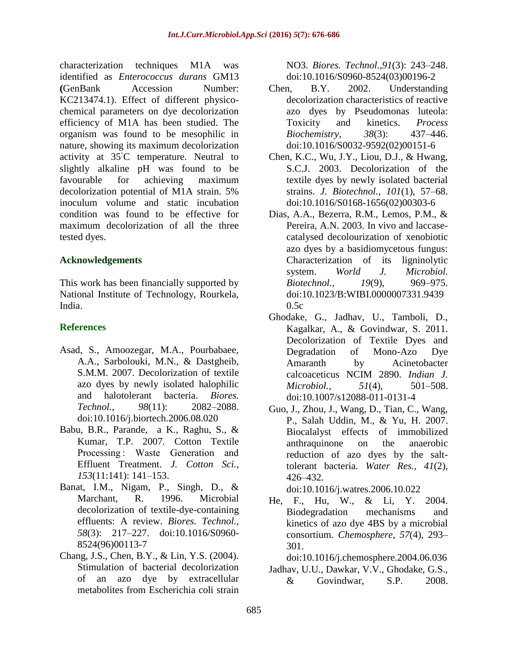characterization techniques M1A was identified as *Enterococcus durans* GM13 **(**GenBank Accession Number: KC213474.1). Effect of different physicochemical parameters on dye decolorization efficiency of M1A has been studied. The organism was found to be mesophilic in nature, showing its maximum decolorization activity at 35◦C temperature. Neutral to slightly alkaline pH was found to be favourable for achieving maximum decolorization potential of M1A strain. 5% inoculum volume and static incubation condition was found to be effective for maximum decolorization of all the three tested dyes.

#### **Acknowledgements**

This work has been financially supported by National Institute of Technology, Rourkela, India.

## **References**

- Asad, S., Amoozegar, M.A., Pourbabaee, A.A., Sarbolouki, M.N., & Dastgheib, S.M.M. 2007. Decolorization of textile azo dyes by newly isolated halophilic and halotolerant bacteria. *Biores. Technol., 98*(11): 2082–2088. doi:10.1016/j.biortech.2006.08.020
- Babu, B.R., Parande, a K., Raghu, S., & Kumar, T.P. 2007. Cotton Textile Processing : Waste Generation and Effluent Treatment. *J. Cotton Sci., 153*(11:141): 141–153.
- Banat, I.M., Nigam, P., Singh, D., & Marchant, R. 1996. Microbial decolorization of textile-dye-containing effluents: A review. *Biores. Technol., 58*(3): 217–227. doi:10.1016/S0960- 8524(96)00113-7
- Chang, J.S., Chen, B.Y., & Lin, Y.S. (2004). Stimulation of bacterial decolorization of an azo dye by extracellular metabolites from Escherichia coli strain

NO3. *Biores. Technol.,91*(3): 243–248. doi:10.1016/S0960-8524(03)00196-2

- Chen, B.Y. 2002. Understanding decolorization characteristics of reactive azo dyes by Pseudomonas luteola: Toxicity and kinetics. *Process Biochemistry*, *38*(3): 437–446. doi:10.1016/S0032-9592(02)00151-6
- Chen, K.C., Wu, J.Y., Liou, D.J., & Hwang, S.C.J. 2003. Decolorization of the textile dyes by newly isolated bacterial strains. *J. Biotechnol., 101*(1), 57–68. doi:10.1016/S0168-1656(02)00303-6
- Dias, A.A., Bezerra, R.M., Lemos, P.M., & Pereira, A.N. 2003. In vivo and laccasecatalysed decolourization of xenobiotic azo dyes by a basidiomycetous fungus: Characterization of its ligninolytic system. *World J. Microbiol. Biotechnol., 19*(9), 969–975. doi:10.1023/B:WIBI.0000007331.9439 0.5c
- Ghodake, G., Jadhav, U., Tamboli, D., Kagalkar, A., & Govindwar, S. 2011. Decolorization of Textile Dyes and Degradation of Mono-Azo Dye Amaranth by Acinetobacter calcoaceticus NCIM 2890. *Indian J. Microbiol., 51*(4), 501–508. doi:10.1007/s12088-011-0131-4
- Guo, J., Zhou, J., Wang, D., Tian, C., Wang, P., Salah Uddin, M., & Yu, H. 2007. Biocalalyst effects of immobilized anthraquinone on the anaerobic reduction of azo dyes by the salttolerant bacteria. *Water Res., 41*(2), 426–432.

doi:10.1016/j.watres.2006.10.022

He, F., Hu, W., & Li, Y. 2004. Biodegradation mechanisms and kinetics of azo dye 4BS by a microbial consortium. *Chemosphere*, *57*(4), 293– 301.

doi:10.1016/j.chemosphere.2004.06.036

Jadhav, U.U., Dawkar, V.V., Ghodake, G.S., & Govindwar, S.P. 2008.